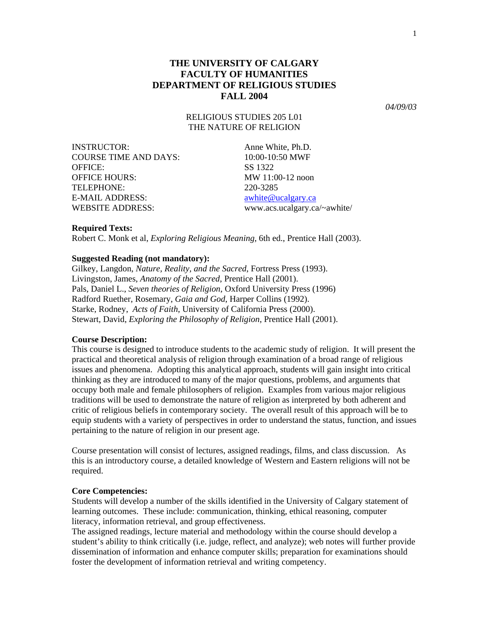*04/09/03* 

RELIGIOUS STUDIES 205 L01 THE NATURE OF RELIGION

| <b>INSTRUCTOR:</b>           | Anne Whi     |
|------------------------------|--------------|
| <b>COURSE TIME AND DAYS:</b> | $10:00-10:5$ |
| <b>OFFICE:</b>               | SS 1322      |
| <b>OFFICE HOURS:</b>         | MW 11:00     |
| TELEPHONE:                   | 220-3285     |
| E-MAIL ADDRESS:              | awhite@u     |
| <b>WEBSITE ADDRESS:</b>      | WWW.acs.     |

Ine White, Ph.D.  $0.00 - 10:50$  MWF  $W$  11:00-12 noon hite@ucalgary.ca ww.acs.ucalgary.ca/~awhite/

## **Required Texts:**

Robert C. Monk et al, *Exploring Religious Meaning*, 6th ed., Prentice Hall (2003).

## **Suggested Reading (not mandatory):**

Gilkey, Langdon, *Nature, Reality, and the Sacred*, Fortress Press (1993). Livingston, James, *Anatomy of the Sacred*, Prentice Hall (2001). Pals, Daniel L., *Seven theories of Religion*, Oxford University Press (1996) Radford Ruether, Rosemary, *Gaia and God*, Harper Collins (1992). Starke, Rodney, *Acts of Faith*, University of California Press (2000). Stewart, David, *Exploring the Philosophy of Religion*, Prentice Hall (2001).

## **Course Description:**

This course is designed to introduce students to the academic study of religion. It will present the practical and theoretical analysis of religion through examination of a broad range of religious issues and phenomena. Adopting this analytical approach, students will gain insight into critical thinking as they are introduced to many of the major questions, problems, and arguments that occupy both male and female philosophers of religion. Examples from various major religious traditions will be used to demonstrate the nature of religion as interpreted by both adherent and critic of religious beliefs in contemporary society. The overall result of this approach will be to equip students with a variety of perspectives in order to understand the status, function, and issues pertaining to the nature of religion in our present age.

Course presentation will consist of lectures, assigned readings, films, and class discussion. As this is an introductory course, a detailed knowledge of Western and Eastern religions will not be required.

#### **Core Competencies:**

Students will develop a number of the skills identified in the University of Calgary statement of learning outcomes. These include: communication, thinking, ethical reasoning, computer literacy, information retrieval, and group effectiveness.

The assigned readings, lecture material and methodology within the course should develop a student's ability to think critically (i.e. judge, reflect, and analyze); web notes will further provide dissemination of information and enhance computer skills; preparation for examinations should foster the development of information retrieval and writing competency.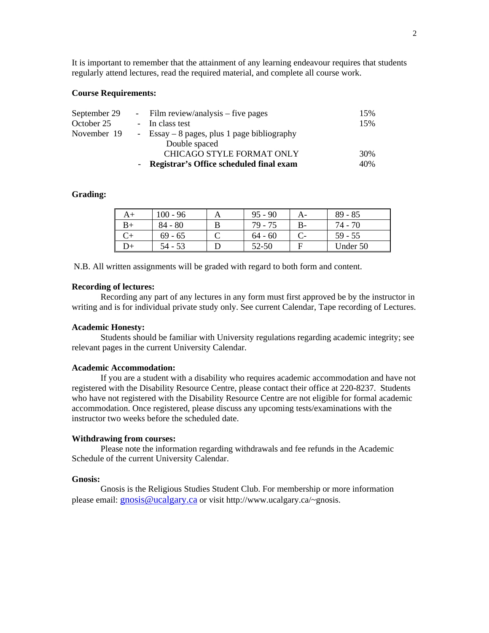It is important to remember that the attainment of any learning endeavour requires that students regularly attend lectures, read the required material, and complete all course work.

### **Course Requirements:**

| September 29 | - Film review/analysis $-$ five pages        | 15% |
|--------------|----------------------------------------------|-----|
| October 25   | - In class test                              | 15% |
| November 19  | - Essay $-8$ pages, plus 1 page bibliography |     |
|              | Double spaced                                |     |
|              | <b>CHICAGO STYLE FORMAT ONLY</b>             | 30% |
|              | - Registrar's Office scheduled final exam    | 40% |

## **Grading:**

| A+ | $100 - 96$ | $95 - 90$ | A- | $89 - 85$ |
|----|------------|-----------|----|-----------|
| B+ | $84 - 80$  | 79 - 75   |    | 74 - 70   |
|    | $69 - 65$  | $64 - 60$ |    | $59 - 55$ |
| D+ | 54 - 53    | 52-50     |    | Under 50  |

N.B. All written assignments will be graded with regard to both form and content.

## **Recording of lectures:**

Recording any part of any lectures in any form must first approved be by the instructor in writing and is for individual private study only. See current Calendar, Tape recording of Lectures.

## **Academic Honesty:**

Students should be familiar with University regulations regarding academic integrity; see relevant pages in the current University Calendar.

#### **Academic Accommodation:**

If you are a student with a disability who requires academic accommodation and have not registered with the Disability Resource Centre, please contact their office at 220-8237. Students who have not registered with the Disability Resource Centre are not eligible for formal academic accommodation. Once registered, please discuss any upcoming tests/examinations with the instructor two weeks before the scheduled date.

#### **Withdrawing from courses:**

Please note the information regarding withdrawals and fee refunds in the Academic Schedule of the current University Calendar.

#### **Gnosis:**

Gnosis is the Religious Studies Student Club. For membership or more information please email: [gnosis@ucalgary.ca](mailto:gnosis@ucalgary.ca) or visit http://www.ucalgary.ca/~gnosis.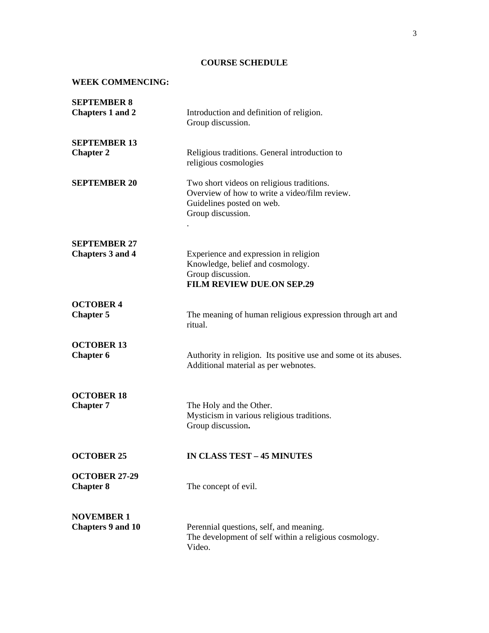# **COURSE SCHEDULE**

# **WEEK COMMENCING:**

| <b>SEPTEMBER 8</b><br><b>Chapters 1 and 2</b>  | Introduction and definition of religion.<br>Group discussion.                                                                                |
|------------------------------------------------|----------------------------------------------------------------------------------------------------------------------------------------------|
| <b>SEPTEMBER 13</b><br><b>Chapter 2</b>        | Religious traditions. General introduction to<br>religious cosmologies                                                                       |
| <b>SEPTEMBER 20</b>                            | Two short videos on religious traditions.<br>Overview of how to write a video/film review.<br>Guidelines posted on web.<br>Group discussion. |
| <b>SEPTEMBER 27</b><br><b>Chapters 3 and 4</b> | Experience and expression in religion<br>Knowledge, belief and cosmology.<br>Group discussion.<br><b>FILM REVIEW DUE.ON SEP.29</b>           |
| <b>OCTOBER 4</b><br><b>Chapter 5</b>           | The meaning of human religious expression through art and<br>ritual.                                                                         |
| <b>OCTOBER 13</b><br><b>Chapter 6</b>          | Authority in religion. Its positive use and some ot its abuses.<br>Additional material as per webnotes.                                      |
| <b>OCTOBER 18</b><br><b>Chapter 7</b>          | The Holy and the Other.<br>Mysticism in various religious traditions.<br>Group discussion.                                                   |
| <b>OCTOBER 25</b>                              | <b>IN CLASS TEST - 45 MINUTES</b>                                                                                                            |
| <b>OCTOBER 27-29</b><br><b>Chapter 8</b>       | The concept of evil.                                                                                                                         |
| <b>NOVEMBER 1</b><br><b>Chapters 9 and 10</b>  | Perennial questions, self, and meaning.<br>The development of self within a religious cosmology.<br>Video.                                   |